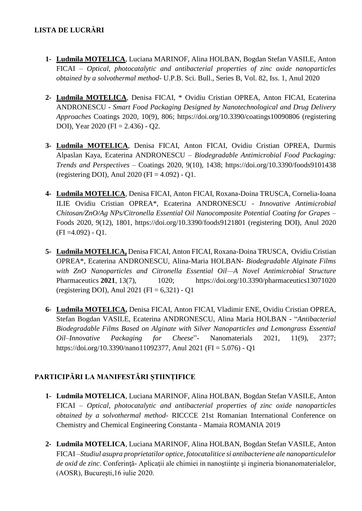- **1- Ludmila MOTELICA**, Luciana MARINOF, Alina HOLBAN, Bogdan Stefan VASILE, Anton FICAI – *Optical, photocatalytic and antibacterial properties of zinc oxide nanoparticles obtained by a solvothermal method-* U.P.B. Sci. Bull., Series B, Vol. 82, Iss. 1, Anul 2020
- **2- Ludmila MOTELICA**, Denisa FICAI, \* Ovidiu Cristian OPREA, Anton FICAI, Ecaterina ANDRONESCU - *Smart Food Packaging Designed by Nanotechnological and Drug Delivery Approaches* Coatings 2020, 10(9), 806; https://doi.org/10.3390/coatings10090806 (registering DOI), Year 2020 (FI = 2.436) - Q2.
- **3- Ludmila MOTELICA**, Denisa FICAI, Anton FICAI, Ovidiu Cristian OPREA, Durmis Alpaslan Kaya, Ecaterina ANDRONESCU – *Biodegradable Antimicrobial Food Packaging: Trends and Perspectives* – Coatings 2020, 9(10), 1438; https://doi.org/10.3390/foods9101438 (registering DOI), Anul 2020 (FI = 4.092) - Q1.
- **4- Ludmila MOTELICA**, Denisa FICAI, Anton FICAI, Roxana-Doina TRUSCA, Cornelia-Ioana ILIE Ovidiu Cristian OPREA\*, Ecaterina ANDRONESCU - *Innovative Antimicrobial Chitosan/ZnO/Ag NPs/Citronella Essential Oil Nanocomposite Potential Coating for Grapes* – Foods 2020, 9(12), 1801, https://doi.org/10.3390/foods9121801 (registering DOI), Anul 2020  $(FI = 4.092) - Q1.$
- **5- Ludmila MOTELICA,** Denisa FICAI, Anton FICAI, Roxana-Doina TRUSCA, Ovidiu Cristian OPREA\*, Ecaterina ANDRONESCU, Alina-Maria HOLBAN- *Biodegradable Alginate Films with ZnO Nanoparticles and Citronella Essential Oil—A Novel Antimicrobial Structure* Pharmaceutics **2021**, 13(7), 1020; https://doi.org/10.3390/pharmaceutics13071020 (registering DOI), Anul 2021 (FI =  $6,321$ ) - Q1
- **6- Ludmila MOTELICA,** Denisa FICAI, Anton FICAI, Vladimir ENE, Ovidiu Cristian OPREA, Stefan Bogdan VASILE, Ecaterina ANDRONESCU, Alina Maria HOLBAN - "*Antibacterial Biodegradable Films Based on Alginate with Silver Nanoparticles and Lemongrass Essential Oil–Innovative Packaging for Cheese*"- Nanomaterials 2021, 11(9), 2377; https://doi.org/10.3390/nano11092377, Anul 2021 (FI = 5.076) - Q1

## **PARTICIPĂRI LA MANIFESTĂRI ȘTIINȚIFICE**

- **1- Ludmila MOTELICA**, Luciana MARINOF, Alina HOLBAN, Bogdan Stefan VASILE, Anton FICAI – *Optical, photocatalytic and antibacterial properties of zinc oxide nanoparticles obtained by a solvothermal method-* RICCCE 21st Romanian International Conference on Chemistry and Chemical Engineering Constanta - Mamaia ROMANIA 2019
- **2- Ludmila MOTELICA**, Luciana MARINOF, Alina HOLBAN, Bogdan Stefan VASILE, Anton FICAI –*Studiul asupra proprietatilor optice, fotocatalitice si antibacteriene ale nanoparticulelor*  de oxid de zinc. Conferință- Aplicații ale chimiei in nanoștiințe și ingineria bionanomaterialelor, (AOSR), Bucureşti,16 iulie 2020.